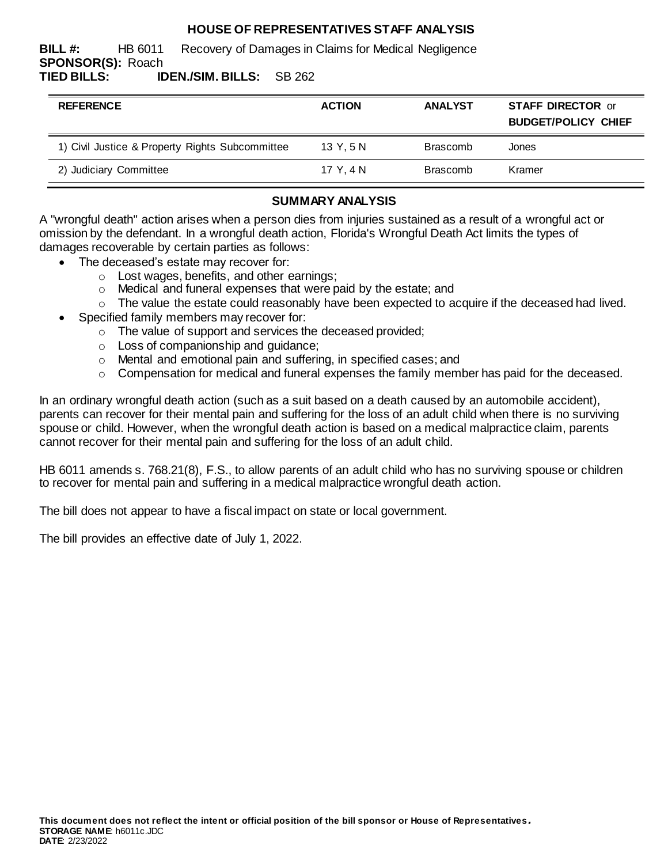# **HOUSE OF REPRESENTATIVES STAFF ANALYSIS**

**BILL #:** HB 6011 Recovery of Damages in Claims for Medical Negligence **SPONSOR(S):** Roach **TIED BILLS: IDEN./SIM. BILLS:** SB 262

| <b>REFERENCE</b>                                | <b>ACTION</b> | <b>ANALYST</b>  | <b>STAFF DIRECTOR or</b><br><b>BUDGET/POLICY CHIEF</b> |
|-------------------------------------------------|---------------|-----------------|--------------------------------------------------------|
| 1) Civil Justice & Property Rights Subcommittee | 13Y.5N        | <b>Brascomb</b> | Jones                                                  |
| 2) Judiciary Committee                          | 17 Y.4 N      | <b>Brascomb</b> | Kramer                                                 |

## **SUMMARY ANALYSIS**

A "wrongful death" action arises when a person dies from injuries sustained as a result of a wrongful act or omission by the defendant. In a wrongful death action, Florida's Wrongful Death Act limits the types of damages recoverable by certain parties as follows:

- The deceased's estate may recover for:
	- o Lost wages, benefits, and other earnings;
	- o Medical and funeral expenses that were paid by the estate; and
	- $\circ$  The value the estate could reasonably have been expected to acquire if the deceased had lived.
- Specified family members may recover for:
	- o The value of support and services the deceased provided;
	- o Loss of companionship and guidance;
	- o Mental and emotional pain and suffering, in specified cases; and
	- o Compensation for medical and funeral expenses the family member has paid for the deceased.

In an ordinary wrongful death action (such as a suit based on a death caused by an automobile accident), parents can recover for their mental pain and suffering for the loss of an adult child when there is no surviving spouse or child. However, when the wrongful death action is based on a medical malpractice claim, parents cannot recover for their mental pain and suffering for the loss of an adult child.

HB 6011 amends s. 768.21(8), F.S., to allow parents of an adult child who has no surviving spouse or children to recover for mental pain and suffering in a medical malpractice wrongful death action.

The bill does not appear to have a fiscal impact on state or local government.

The bill provides an effective date of July 1, 2022.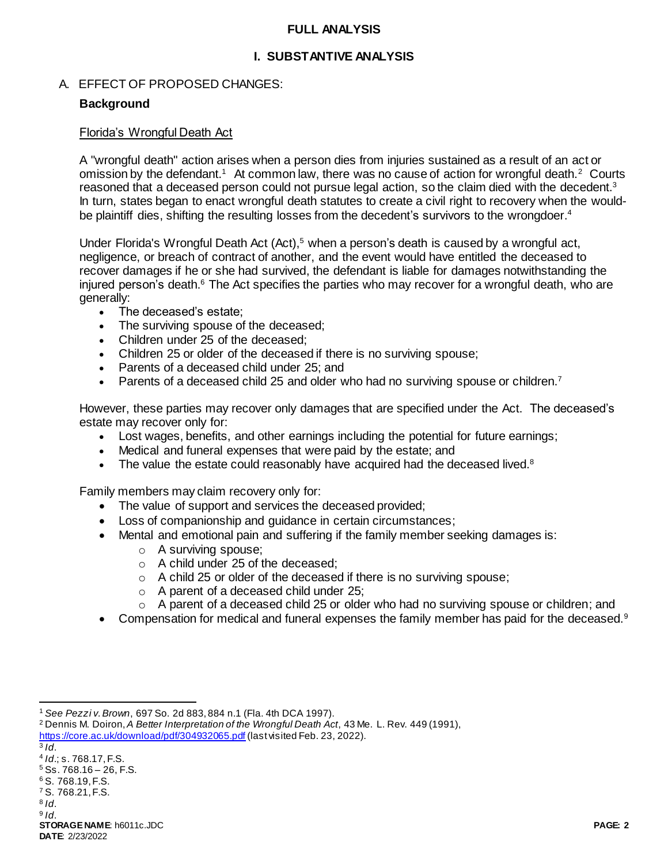### **FULL ANALYSIS**

# **I. SUBSTANTIVE ANALYSIS**

## A. EFFECT OF PROPOSED CHANGES:

# **Background**

### Florida's Wrongful Death Act

A "wrongful death" action arises when a person dies from injuries sustained as a result of an act or omission by the defendant.<sup>1</sup> At common law, there was no cause of action for wrongful death.<sup>2</sup> Courts reasoned that a deceased person could not pursue legal action, so the claim died with the decedent.<sup>3</sup> In turn, states began to enact wrongful death statutes to create a civil right to recovery when the wouldbe plaintiff dies, shifting the resulting losses from the decedent's survivors to the wrongdoer.<sup>4</sup>

Under Florida's Wrongful Death Act  $(Act)$ ,<sup>5</sup> when a person's death is caused by a wrongful act, negligence, or breach of contract of another, and the event would have entitled the deceased to recover damages if he or she had survived, the defendant is liable for damages notwithstanding the injured person's death.<sup>6</sup> The Act specifies the parties who may recover for a wrongful death, who are generally:

- The deceased's estate;
- The surviving spouse of the deceased;
- Children under 25 of the deceased:
- Children 25 or older of the deceased if there is no surviving spouse;
- Parents of a deceased child under 25; and
- Parents of a deceased child 25 and older who had no surviving spouse or children.<sup>7</sup>

However, these parties may recover only damages that are specified under the Act. The deceased's estate may recover only for:

- Lost wages, benefits, and other earnings including the potential for future earnings;
- Medical and funeral expenses that were paid by the estate; and
- The value the estate could reasonably have acquired had the deceased lived. $8$

Family members may claim recovery only for:

- The value of support and services the deceased provided;
- Loss of companionship and guidance in certain circumstances;
- Mental and emotional pain and suffering if the family member seeking damages is:
	- o A surviving spouse;
	- o A child under 25 of the deceased;
	- o A child 25 or older of the deceased if there is no surviving spouse;
	- o A parent of a deceased child under 25;
	- o A parent of a deceased child 25 or older who had no surviving spouse or children; and
- Compensation for medical and funeral expenses the family member has paid for the deceased.<sup>9</sup>

3 *Id*.

l

- 4 *Id*.; s. 768.17, F.S.
- $5$  Ss. 768.16 26, F.S.
- <sup>6</sup> S. 768.19, F.S. <sup>7</sup> S. 768.21, F.S.
- 8 *Id*.

<sup>1</sup> *See Pezzi v. Brown*, 697 So. 2d 883, 884 n.1 (Fla. 4th DCA 1997).

<sup>2</sup> Dennis M. Doiron, *A Better Interpretation of the Wrongful Death Act*, 43 Me. L. Rev. 449 (1991),

<https://core.ac.uk/download/pdf/304932065.pdf> (last visited Feb. 23, 2022).

**STORAGE NAME**: h6011c.JDC **PAGE: 2** 9 *Id*.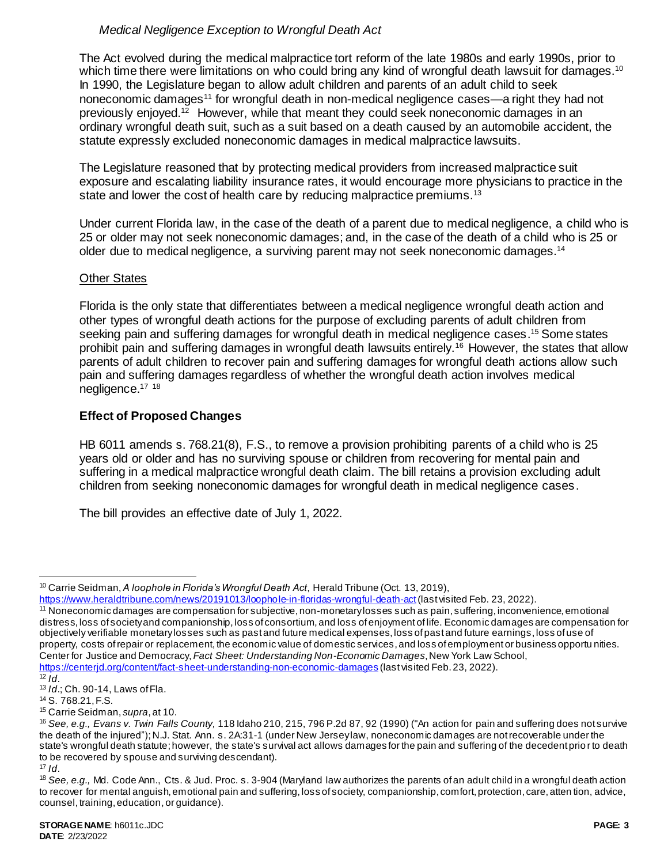# *Medical Negligence Exception to Wrongful Death Act*

The Act evolved during the medical malpractice tort reform of the late 1980s and early 1990s, prior to which time there were limitations on who could bring any kind of wrongful death lawsuit for damages.<sup>10</sup> In 1990, the Legislature began to allow adult children and parents of an adult child to seek noneconomic damages<sup>11</sup> for wrongful death in non-medical negligence cases—a right they had not previously enjoyed.<sup>12</sup> However, while that meant they could seek noneconomic damages in an ordinary wrongful death suit, such as a suit based on a death caused by an automobile accident, the statute expressly excluded noneconomic damages in medical malpractice lawsuits.

The Legislature reasoned that by protecting medical providers from increased malpractice suit exposure and escalating liability insurance rates, it would encourage more physicians to practice in the state and lower the cost of health care by reducing malpractice premiums.<sup>13</sup>

Under current Florida law, in the case of the death of a parent due to medical negligence, a child who is 25 or older may not seek noneconomic damages; and, in the case of the death of a child who is 25 or older due to medical negligence, a surviving parent may not seek noneconomic damages.<sup>14</sup>

## Other States

Florida is the only state that differentiates between a medical negligence wrongful death action and other types of wrongful death actions for the purpose of excluding parents of adult children from seeking pain and suffering damages for wrongful death in medical negligence cases. <sup>15</sup> Some states prohibit pain and suffering damages in wrongful death lawsuits entirely.<sup>16</sup> However, the states that allow parents of adult children to recover pain and suffering damages for wrongful death actions allow such pain and suffering damages regardless of whether the wrongful death action involves medical negligence.<sup>17 18</sup>

## **Effect of Proposed Changes**

HB 6011 amends s. 768.21(8), F.S., to remove a provision prohibiting parents of a child who is 25 years old or older and has no surviving spouse or children from recovering for mental pain and suffering in a medical malpractice wrongful death claim. The bill retains a provision excluding adult children from seeking noneconomic damages for wrongful death in medical negligence cases.

The bill provides an effective date of July 1, 2022.

<sup>17</sup> *Id*.

 $\overline{a}$ <sup>10</sup> Carrie Seidman, *A loophole in Florida's Wrongful Death Act*, Herald Tribune (Oct. 13, 2019),

<https://www.heraldtribune.com/news/20191013/loophole-in-floridas-wrongful-death-act> (last visited Feb. 23, 2022).

<sup>11</sup> Noneconomic damages are compensation for subjective, non-monetary losses such as pain, suffering, inconvenience, emotional distress, loss of society and companionship, loss of consortium, and loss of enjoyment of life. Economic damages are compensation for objectively verifiable monetary losses such as past and future medical expenses, loss of past and future earnings, loss of use of property, costs of repair or replacement, the economic value of domestic services, and loss of employment or business opportu nities. Center for Justice and Democracy, *Fact Sheet: Understanding Non-Economic Damages*, New York Law School, <https://centerjd.org/content/fact-sheet-understanding-non-economic-damages> (last visited Feb. 23, 2022).

 $\overline{12}$  *Id.* 

<sup>13</sup> *Id*.; Ch. 90-14, Laws of Fla.

<sup>14</sup> S. 768.21, F.S.

<sup>15</sup> Carrie Seidman, *supra*, at 10.

<sup>16</sup> *See, e.g., Evans v. Twin Falls County,* 118 Idaho 210, 215, 796 P.2d 87, 92 (1990) ("An action for pain and suffering does not survive the death of the injured");N.J. Stat. Ann. s. 2A:31-1 (under New Jersey law, noneconomic damages are not recoverable under the state's wrongful death statute; however, the state's survival act allows damages for the pain and suffering of the decedent prio r to death to be recovered by spouse and surviving descendant).

<sup>18</sup> *See, e.g.,* Md. Code Ann., Cts. & Jud. Proc. s. 3-904 (Maryland law authorizes the parents of an adult child in a wrongful death action to recover for mental anguish, emotional pain and suffering, loss of society, companionship, comfort, protection, care, atten tion, advice, counsel, training, education, or guidance).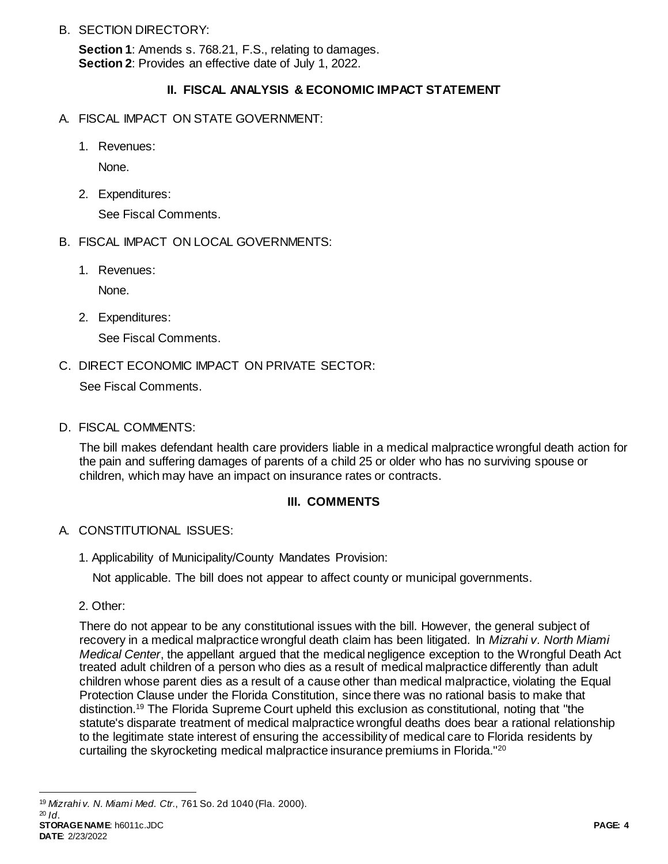B. SECTION DIRECTORY:

**Section 1**: Amends s. 768.21, F.S., relating to damages. **Section 2**: Provides an effective date of July 1, 2022.

# **II. FISCAL ANALYSIS & ECONOMIC IMPACT STATEMENT**

- A. FISCAL IMPACT ON STATE GOVERNMENT:
	- 1. Revenues:

None.

2. Expenditures:

See Fiscal Comments.

- B. FISCAL IMPACT ON LOCAL GOVERNMENTS:
	- 1. Revenues:

None.

2. Expenditures:

See Fiscal Comments.

C. DIRECT ECONOMIC IMPACT ON PRIVATE SECTOR:

See Fiscal Comments.

D. FISCAL COMMENTS:

The bill makes defendant health care providers liable in a medical malpractice wrongful death action for the pain and suffering damages of parents of a child 25 or older who has no surviving spouse or children, which may have an impact on insurance rates or contracts.

## **III. COMMENTS**

## A. CONSTITUTIONAL ISSUES:

1. Applicability of Municipality/County Mandates Provision:

Not applicable. The bill does not appear to affect county or municipal governments.

2. Other:

There do not appear to be any constitutional issues with the bill. However, the general subject of recovery in a medical malpractice wrongful death claim has been litigated. In *Mizrahi v. North Miami Medical Center*, the appellant argued that the medical negligence exception to the Wrongful Death Act treated adult children of a person who dies as a result of medical malpractice differently than adult children whose parent dies as a result of a cause other than medical malpractice, violating the Equal Protection Clause under the Florida Constitution, since there was no rational basis to make that distinction.<sup>19</sup> The Florida Supreme Court upheld this exclusion as constitutional, noting that "the statute's disparate treatment of medical malpractice wrongful deaths does bear a rational relationship to the legitimate state interest of ensuring the accessibility of medical care to Florida residents by curtailing the skyrocketing medical malpractice insurance premiums in Florida."<sup>20</sup>

 $\overline{a}$ <sup>19</sup> *Mizrahi v. N. Miami Med. Ctr.*, 761 So. 2d 1040 (Fla. 2000). <sup>20</sup> *Id*.